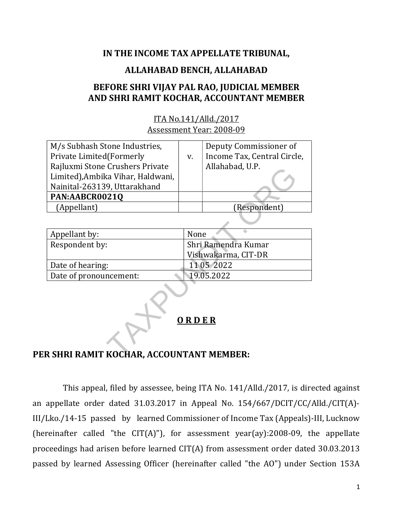# IN THE INCOME TAX APPELLATE TRIBUNAL,

# ALLAHABAD BENCH, ALLAHABAD

# BEFORE SHRI VIJAY PAL RAO, JUDICIAL MEMBER AND SHRI RAMIT KOCHAR, ACCOUNTANT MEMBER

ITA No.141/Alld./2017 Assessment Year: 2008-09

| M/s Subhash Stone Industries,     |    | Deputy Commissioner of      |
|-----------------------------------|----|-----------------------------|
| <b>Private Limited (Formerly</b>  | V. | Income Tax, Central Circle, |
| Rajluxmi Stone Crushers Private   |    | Allahabad, U.P.             |
| Limited), Ambika Vihar, Haldwani, |    |                             |
| Nainital-263139, Uttarakhand      |    |                             |
| PAN:AABCR0021Q                    |    |                             |
| (Appellant)                       |    | (Respondent)                |
|                                   |    |                             |

| Rajiuxini Stone Crushers Private        |  | Alianabad, U.P.     |  |  |
|-----------------------------------------|--|---------------------|--|--|
| Limited), Ambika Vihar, Haldwani,       |  |                     |  |  |
| Nainital-263139, Uttarakhand            |  |                     |  |  |
| PAN:AABCR0021Q                          |  |                     |  |  |
| (Appellant)                             |  | (Respondent)        |  |  |
|                                         |  |                     |  |  |
| Appellant by:                           |  | None                |  |  |
| Respondent by:                          |  | Shri Ramendra Kumar |  |  |
|                                         |  | Vishwakarma, CIT-DR |  |  |
| Date of hearing:                        |  | 1105 2022           |  |  |
| Date of pronouncement:                  |  | 19.05.2022          |  |  |
| ORDER                                   |  |                     |  |  |
| R SHRI RAMIT KOCHAR, ACCOUNTANT MEMBER: |  |                     |  |  |

#### O R D E R

# PER SHRI RAMIT KOCHAR, ACCOUNTANT MEMBER:

This appeal, filed by assessee, being ITA No. 141/Alld./2017, is directed against an appellate order dated 31.03.2017 in Appeal No. 154/667/DCIT/CC/Alld./CIT(A)- III/Lko./14-15 passed by learned Commissioner of Income Tax (Appeals)-III, Lucknow (hereinafter called "the  $CIT(A)$ "), for assessment year(ay):2008-09, the appellate proceedings had arisen before learned CIT(A) from assessment order dated 30.03.2013 passed by learned Assessing Officer (hereinafter called "the AO") under Section 153A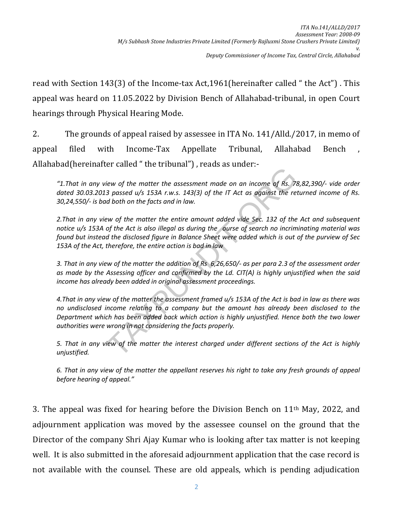read with Section 143(3) of the Income-tax Act,1961(hereinafter called " the Act") . This appeal was heard on 11.05.2022 by Division Bench of Allahabad-tribunal, in open Court hearings through Physical Hearing Mode.

2. The grounds of appeal raised by assessee in ITA No. 141/Alld./2017, in memo of appeal filed with Income-Tax Appellate Tribunal, Allahabad Bench , Allahabad(hereinafter called " the tribunal") , reads as under:-

"1.That in any view of the matter the assessment made on an income of Rs. 78,82,390/- vide order dated 30.03.2013 passed u/s 153A r.w.s. 143(3) of the IT Act as against the returned income of Rs. 30,24,550/- is bad both on the facts and in law.

2.That in any view of the matter the entire amount added vide Sec. 132 of the Act and subsequent notice u/s 153A of the Act is also illegal as during the ourse of search no incriminating material was found but instead the disclosed figure in Balance Sheet were added which is out of the purview of Sec 153A of the Act, therefore, the entire action is bad in law

3. That in any view of the matter the addition of Rs 6,26,650/- as per para 2.3 of the assessment order as made by the Assessing officer and confirmed by the Ld. CIT(A) is highly unjustified when the said income has already been added in original assessment proceedings.

4.That in any view of the matter the assessment framed u/s 153A of the Act is bad in law as there was no undisclosed income relating to a company but the amount has already been disclosed to the Department which has been added back which action is highly unjustified. Hence both the two lower authorities were wrong in not considering the facts properly. iew of the matter the assessment made on an income of Rs. 78<br>3 passed u/s 153A r.w.s. 143(3) of the IT Act as against the real doth on the facts and in law.<br>ew of the matter the entire amount added vide Sec. 132 of the<br>of

5. That in any view of the matter the interest charged under different sections of the Act is highly unjustified.

6. That in any view of the matter the appellant reserves his right to take any fresh grounds of appeal before hearing of appeal."

3. The appeal was fixed for hearing before the Division Bench on 11th May, 2022, and adjournment application was moved by the assessee counsel on the ground that the Director of the company Shri Ajay Kumar who is looking after tax matter is not keeping well. It is also submitted in the aforesaid adjournment application that the case record is not available with the counsel. These are old appeals, which is pending adjudication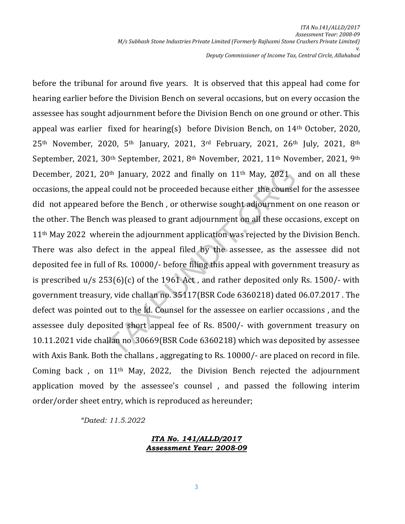before the tribunal for around five years. It is observed that this appeal had come for hearing earlier before the Division Bench on several occasions, but on every occasion the assessee has sought adjournment before the Division Bench on one ground or other. This appeal was earlier fixed for hearing(s) before Division Bench, on 14th October, 2020, 25th November, 2020, 5th January, 2021, 3rd February, 2021, 26th July, 2021, 8th September, 2021, 30th September, 2021, 8th November, 2021, 11th November, 2021, 9th December, 2021, 20<sup>th</sup> January, 2022 and finally on  $11<sup>th</sup>$  May, 2021 and on all these occasions, the appeal could not be proceeded because either the counsel for the assessee did not appeared before the Bench , or otherwise sought adjournment on one reason or the other. The Bench was pleased to grant adjournment on all these occasions, except on 11th May 2022 wherein the adjournment application was rejected by the Division Bench. There was also defect in the appeal filed by the assessee, as the assessee did not deposited fee in full of Rs. 10000/- before filing this appeal with government treasury as is prescribed u/s 253(6)(c) of the 1961 Act , and rather deposited only Rs. 1500/- with government treasury, vide challan no. 35117(BSR Code 6360218) dated 06.07.2017 . The defect was pointed out to the ld. Counsel for the assessee on earlier occassions , and the assessee duly deposited short appeal fee of Rs. 8500/- with government treasury on 10.11.2021 vide challan no 30669(BSR Code 6360218) which was deposited by assessee with Axis Bank. Both the challans, aggregating to Rs. 10000/- are placed on record in file. Coming back , on 11th May, 2022, the Division Bench rejected the adjournment application moved by the assessee's counsel , and passed the following interim order/order sheet entry, which is reproduced as hereunder; 0<sup>th</sup> January, 2022 and finally on  $11^{\text{th}}$  May, 2021<br>al could not be proceeded because either the counse<br>efore the Bench, or otherwise sought adjournment<br>h was pleased to grant adjournment on all these occ<br>rein the adj

"Dated: 11.5.2022

#### ITA No. 141/ALLD/2017 Assessment Year: 2008-09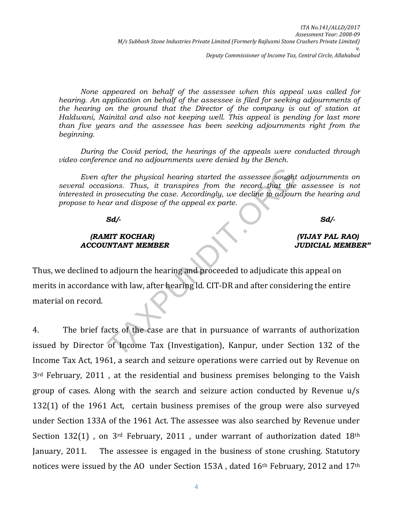None appeared on behalf of the assessee when this appeal was called for hearing. An application on behalf of the assessee is filed for seeking adjournments of the hearing on the ground that the Director of the company is out of station at Haldwani, Nainital and also not keeping well. This appeal is pending for last more than five years and the assessee has been seeking adjournments right from the beginning.

During the Covid period, the hearings of the appeals were conducted through video conference and no adjournments were denied by the Bench.

Even after the physical hearing started the assessee sought adjournments on several occasions. Thus, it transpires from the record that the assessee is not interested in prosecuting the case. Accordingly, we decline to adjourn the hearing and propose to hear and dispose of the appeal ex parte.

Sd/- Sd/-

#### (RAMIT KOCHAR) (VIJAY PAL RAO) ACCOUNTANT MEMBER JUDICIAL MEMBER"

Thus, we declined to adjourn the hearing and proceeded to adjudicate this appeal on merits in accordance with law, after hearing ld. CIT-DR and after considering the entire material on record. The physical hearing started the assessee sought<br>sions. Thus, it transpires from the record that the<br>prosecuting the case. Accordingly, we decline to adjour<br>ar and dispose of the appeal ex parte.<br>**Sd/-**<br>**NIT KOCHAR)**<br>**NIT** 

4. The brief facts of the case are that in pursuance of warrants of authorization issued by Director of Income Tax (Investigation), Kanpur, under Section 132 of the Income Tax Act, 1961, a search and seizure operations were carried out by Revenue on 3rd February, 2011 , at the residential and business premises belonging to the Vaish group of cases. Along with the search and seizure action conducted by Revenue u/s 132(1) of the 1961 Act, certain business premises of the group were also surveyed under Section 133A of the 1961 Act. The assessee was also searched by Revenue under Section 132(1), on 3rd February, 2011, under warrant of authorization dated 18th January, 2011. The assessee is engaged in the business of stone crushing. Statutory notices were issued by the AO under Section 153A , dated 16th February, 2012 and 17th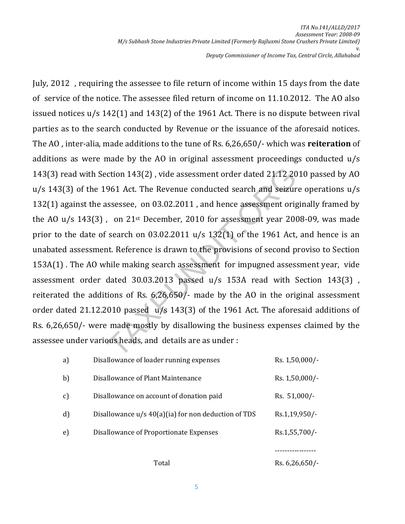July, 2012 , requiring the assessee to file return of income within 15 days from the date of service of the notice. The assessee filed return of income on 11.10.2012. The AO also issued notices u/s 142(1) and 143(2) of the 1961 Act. There is no dispute between rival parties as to the search conducted by Revenue or the issuance of the aforesaid notices. The AO , inter-alia, made additions to the tune of Rs. 6,26,650/- which was reiteration of additions as were made by the AO in original assessment proceedings conducted u/s 143(3) read with Section 143(2) , vide assessment order dated 21.12 2010 passed by AO u/s 143(3) of the 1961 Act. The Revenue conducted search and seizure operations u/s 132(1) against the assessee, on 03.02.2011 , and hence assessment originally framed by the AO  $u/s$  143(3), on 21<sup>st</sup> December, 2010 for assessment year 2008-09, was made prior to the date of search on 03.02.2011 u/s 132(1) of the 1961 Act, and hence is an unabated assessment. Reference is drawn to the provisions of second proviso to Section 153A(1) . The AO while making search assessment for impugned assessment year, vide assessment order dated 30.03.2013 passed u/s 153A read with Section 143(3) , reiterated the additions of Rs. 6,26,650/- made by the AO in the original assessment order dated 21.12.2010 passed u/s 143(3) of the 1961 Act. The aforesaid additions of Rs. 6,26,650/- were made mostly by disallowing the business expenses claimed by the assessee under various heads, and details are as under : ection 143(2), vide assessment order dated 21.12 20<br>961 Act. The Revenue conducted search and seizur<br>assessee, on 03.02.2011, and hence assessment orig<br>, on 21<sup>st</sup> December, 2010 for assessment year 200<br>is earch on 03.02.

| a) | Disallowance of loader running expenses               | Rs. 1,50,000/-    |
|----|-------------------------------------------------------|-------------------|
| b) | Disallowance of Plant Maintenance                     | Rs. $1,50,000/-$  |
| c) | Disallowance on account of donation paid              | Rs. $51,000/-$    |
| d) | Disallowance $u/s$ 40(a)(ia) for non deduction of TDS | Rs.1,19,950/-     |
| e) | Disallowance of Proportionate Expenses                | Rs.1,55,700/-     |
|    |                                                       |                   |
|    | Total                                                 | Rs. $6,26,650$ /- |

5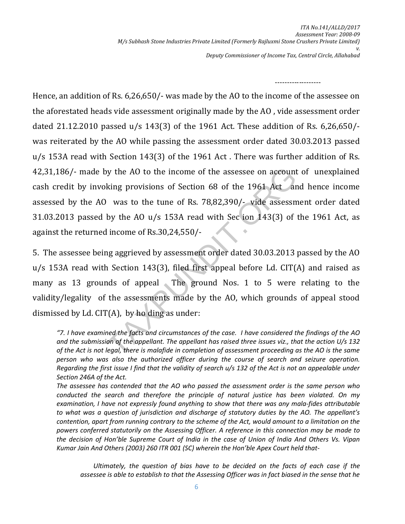Hence, an addition of Rs. 6,26,650/- was made by the AO to the income of the assessee on the aforestated heads vide assessment originally made by the AO , vide assessment order dated 21.12.2010 passed u/s 143(3) of the 1961 Act. These addition of Rs. 6,26,650/ was reiterated by the AO while passing the assessment order dated 30.03.2013 passed u/s 153A read with Section 143(3) of the 1961 Act . There was further addition of Rs. 42,31,186/- made by the AO to the income of the assessee on account of unexplained cash credit by invoking provisions of Section 68 of the 1961 Act and hence income assessed by the AO was to the tune of Rs. 78,82,390/- vide assessment order dated  $31.03.2013$  passed by the AO  $u/s$  153A read with Sec ion 143(3) of the 1961 Act, as against the returned income of Rs.30,24,550/ by the AO to the income of the assessee on account<br>
king provisions of Section 68 of the 1961 Act are<br>
was to the tune of Rs. 78,82,390/- vide assessm<br>
by the AO u/s 153A read with Sec ion 143(3) of<br>
d income of Rs.30,24,5

-------------------

5. The assessee being aggrieved by assessment order dated 30.03.2013 passed by the AO u/s 153A read with Section 143(3), filed first appeal before Ld. CIT(A) and raised as many as 13 grounds of appeal The ground Nos. 1 to 5 were relating to the validity/legality of the assessments made by the AO, which grounds of appeal stood dismissed by Ld.  $CIT(A)$ , by ho ding as under:

The assessee has contended that the AO who passed the assessment order is the same person who conducted the search and therefore the principle of natural justice has been violated. On my examination, I have not expressly found anything to show that there was any mala-fides attributable to what was a question of jurisdiction and discharge of statutory duties by the AO. The appellant's contention, apart from running contrary to the scheme of the Act, would amount to a limitation on the powers conferred statutorily on the Assessing Officer. A reference in this connection may be made to the decision of Hon'ble Supreme Court of India in the case of Union of India And Others Vs. Vipan Kumar Jain And Others (2003) 260 ITR 001 (SC) wherein the Hon'ble Apex Court held that-

 Ultimately, the question of bias have to be decided on the facts of each case if the assessee is able to establish to that the Assessing Officer was in fact biased in the sense that he

<sup>&</sup>quot;7. I have examined the facts and circumstances of the case. I have considered the findings of the AO and the submission of the appellant. The appellant has raised three issues viz., that the action U/s 132 of the Act is not legal, there is malafide in completion of assessment proceeding as the AO is the same person who was also the authorized officer during the course of search and seizure operation. Regarding the first issue I find that the validity of search u/s 132 of the Act is not an appealable under Section 246A of the Act.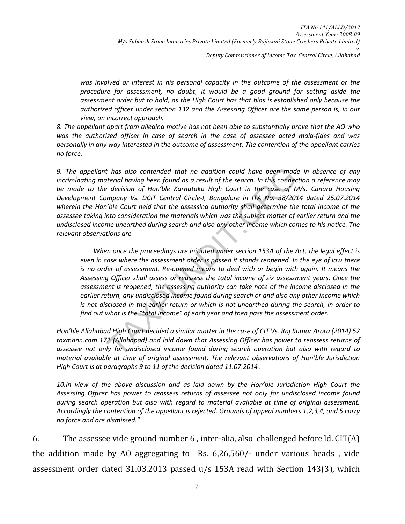was involved or interest in his personal capacity in the outcome of the assessment or the procedure for assessment, no doubt, it would be a good ground for setting aside the assessment order but to hold, as the High Court has that bias is established only because the authorized officer under section 132 and the Assessing Officer are the same person is, in our view, on incorrect approach.

8. The appellant apart from alleging motive has not been able to substantially prove that the AO who was the authorized officer in case of search in the case of assessee acted mala-fides and was personally in any way interested in the outcome of assessment. The contention of the appellant carries no force.

9. The appellant has also contended that no addition could have been made in absence of any incriminating material having been found as a result of the search. In this connection a reference may be made to the decision of Hon'ble Karnataka High Court in the case of M/s. Canara Housing Development Company Vs. DCIT Central Circle-I, Bangalore in ITA No. 38/2014 dated 25.07.2014 wherein the Hon'ble Court held that the assessing authority shall determine the total income of the assessee taking into consideration the materials which was the subject matter of earlier return and the undisclosed income unearthed during search and also any other income which comes to his notice. The relevant observations are the mask also contended that no addition could have been mad<br>terial having been found as a result of the search. In this connec<br>electsion of Hon'ble Karnataka High Court in the case of No<br>mpany Vs. DCIT Central Circle-I, B

 When once the proceedings are initiated under section 153A of the Act, the legal effect is even in case where the assessment order is passed it stands reopened. In the eye of law there is no order of assessment. Re-opened means to deal with or begin with again. It means the Assessing Officer shall assess or reassess the total income of six assessment years. Once the assessment is reopened, the assess ng authority can take note of the income disclosed in the earlier return, any undisclosed income found during search or and also any other income which is not disclosed in the earlier return or which is not unearthed during the search, in order to find out what is the "total income" of each year and then pass the assessment order.

Hon'ble Allahabad High Court decided a similar matter in the case of CIT Vs. Raj Kumar Arora (2014) 52 taxmann.com 172 (Allahabad) and laid down that Assessing Officer has power to reassess returns of assessee not only for undisclosed income found during search operation but also with regard to material available at time of original assessment. The relevant observations of Hon'ble Jurisdiction High Court is at paragraphs 9 to 11 of the decision dated 11.07.2014 .

10.In view of the above discussion and as laid down by the Hon'ble Jurisdiction High Court the Assessing Officer has power to reassess returns of assessee not only for undisclosed income found during search operation but also with regard to material available at time of original assessment. Accordingly the contention of the appellant is rejected. Grounds of appeal numbers 1,2,3,4, and 5 carry no force and are dismissed."

6. The assessee vide ground number 6 , inter-alia, also challenged before ld. CIT(A) the addition made by AO aggregating to Rs. 6,26,560/- under various heads , vide assessment order dated 31.03.2013 passed u/s 153A read with Section 143(3), which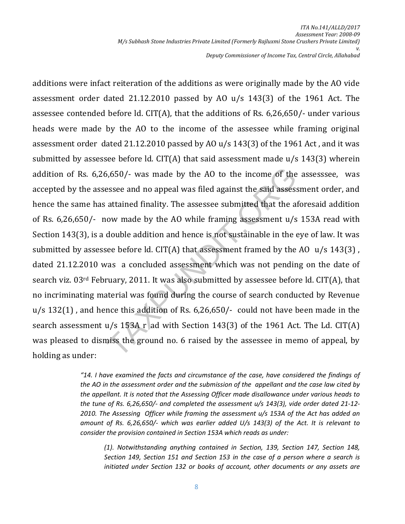additions were infact reiteration of the additions as were originally made by the AO vide assessment order dated 21.12.2010 passed by AO u/s 143(3) of the 1961 Act. The assessee contended before ld. CIT(A), that the additions of Rs. 6,26,650/- under various heads were made by the AO to the income of the assessee while framing original assessment order dated 21.12.2010 passed by AO u/s 143(3) of the 1961 Act , and it was submitted by assessee before ld. CIT(A) that said assessment made  $u/s$  143(3) wherein addition of Rs. 6,26,650/- was made by the AO to the income of the assesssee, was accepted by the assessee and no appeal was filed against the said assessment order, and hence the same has attained finality. The assessee submitted that the aforesaid addition of Rs. 6,26,650/- now made by the AO while framing assessment u/s 153A read with Section 143(3), is a double addition and hence is not sustainable in the eye of law. It was submitted by assessee before ld. CIT(A) that assessment framed by the AO u/s 143(3), dated 21.12.2010 was a concluded assessment which was not pending on the date of search viz. 03<sup>rd</sup> February, 2011. It was also submitted by assessee before ld. CIT(A), that no incriminating material was found during the course of search conducted by Revenue u/s 132(1) , and hence this addition of Rs. 6,26,650/- could not have been made in the search assessment  $u/s$  153A r ad with Section 143(3) of the 1961 Act. The Ld. CIT(A) was pleased to dismiss the ground no. 6 raised by the assessee in memo of appeal, by holding as under: 5,650/- was made by the AO to the income of the<br>essee and no appeal was filed against the said assess<br>attained finality. The assessee submitted that the a<br>low made by the AO while framing assessment  $u/s$ <br>double addition a

> "14. I have examined the facts and circumstance of the case, have considered the findings of the AO in the assessment order and the submission of the appellant and the case law cited by the appellant. It is noted that the Assessing Officer made disallowance under various heads to the tune of Rs. 6,26,650/- and completed the assessment u/s 143(3), vide order dated 21-12- 2010. The Assessing Officer while framing the assessment u/s 153A of the Act has added an amount of Rs. 6,26,650/- which was earlier added U/s 143(3) of the Act. It is relevant to consider the provision contained in Section 153A which reads as under:

(1). Notwithstanding anything contained in Section, 139, Section 147, Section 148, Section 149, Section 151 and Section 153 in the case of a person where a search is initiated under Section 132 or books of account, other documents or any assets are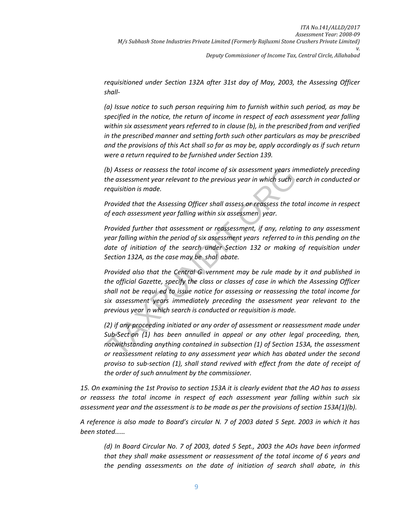requisitioned under Section 132A after 31st day of May, 2003, the Assessing Officer shall-

(a) Issue notice to such person requiring him to furnish within such period, as may be specified in the notice, the return of income in respect of each assessment year falling within six assessment years referred to in clause (b), in the prescribed from and verified in the prescribed manner and setting forth such other particulars as may be prescribed and the provisions of this Act shall so far as may be, apply accordingly as if such return were a return required to be furnished under Section 139.

(b) Assess or reassess the total income of six assessment years immediately preceding the assessment year relevant to the previous year in which such earch in conducted or requisition is made.

Provided that the Assessing Officer shall assess or reassess the total income in respect of each assessment year falling within six assessmen year.

Provided further that assessment or reassessment, if any, relating to any assessment year falling within the period of six assessment years referred to in this pending on the date of initiation of the search under Section 132 or making of requisition under Section 132A, as the case may be shal abate.

Provided also that the Central G vernment may be rule made by it and published in the official Gazette, specify the class or classes of case in which the Assessing Officer shall not be requi ed to issue notice for assessing or reassessing the total income for six assessment years immediately preceding the assessment year relevant to the previous year n which search is conducted or requisition is made. (b) Assess or reassess the total income of six assessment years in<br>the assessment year relevant to the previous year in which such<br>requisition is made.<br>Provided that the Assessing Officer shall assess or reassess the to<br>of

(2) if any proceeding initiated or any order of assessment or reassessment made under Sub-Sect on (1) has been annulled in appeal or any other legal proceeding, then, notwithstanding anything contained in subsection (1) of Section 153A, the assessment or reassessment relating to any assessment year which has abated under the second proviso to sub-section (1), shall stand revived with effect from the date of receipt of the order of such annulment by the commissioner.

15. On examining the 1st Proviso to section 153A it is clearly evident that the AO has to assess or reassess the total income in respect of each assessment year falling within such six assessment year and the assessment is to be made as per the provisions of section 153A(1)(b).

A reference is also made to Board's circular N. 7 of 2003 dated 5 Sept. 2003 in which it has been stated……

(d) In Board Circular No. 7 of 2003, dated 5 Sept., 2003 the AOs have been informed that they shall make assessment or reassessment of the total income of 6 years and the pending assessments on the date of initiation of search shall abate, in this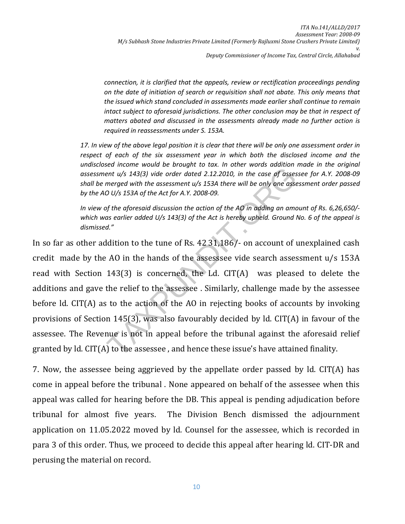connection, it is clarified that the appeals, review or rectification proceedings pending on the date of initiation of search or requisition shall not abate. This only means that the issued which stand concluded in assessments made earlier shall continue to remain intact subject to aforesaid jurisdictions. The other conclusion may be that in respect of matters abated and discussed in the assessments already made no further action is required in reassessments under S. 153A.

17. In view of the above legal position it is clear that there will be only one assessment order in respect of each of the six assessment year in which both the disclosed income and the undisclosed income would be brought to tax. In other words addition made in the original assessment u/s 143(3) vide order dated 2.12.2010, in the case of assessee for A.Y. 2008-09 shall be merged with the assessment u/s 153A there will be only one assessment order passed by the AO U/s 153A of the Act for A.Y. 2008-09.

In view of the aforesaid discussion the action of the AO in adding an amount of Rs. 6,26,650/ which was earlier added U/s 143(3) of the Act is hereby upheld. Ground No. 6 of the appeal is dismissed."

In so far as other addition to the tune of Rs. 42 31,186/- on account of unexplained cash credit made by the AO in the hands of the assesssee vide search assessment u/s 153A read with Section 143(3) is concerned, the Ld. CIT(A) was pleased to delete the additions and gave the relief to the assessee . Similarly, challenge made by the assessee before ld. CIT(A) as to the action of the AO in rejecting books of accounts by invoking provisions of Section 145(3), was also favourably decided by ld. CIT(A) in favour of the assessee. The Revenue is not in appeal before the tribunal against the aforesaid relief granted by ld. CIT(A) to the assessee , and hence these issue's have attained finality. Solution to the solution of the Case of assessment  $u/s$  143(3) vide order dated 2.12.2010, in the case of assessment  $u/s$  1534 of the Act for A.Y. 2008-09.<br>O U/s 153A of the Act for A.Y. 2008-09.<br>O U/s 153A of the Act for

7. Now, the assessee being aggrieved by the appellate order passed by ld. CIT(A) has come in appeal before the tribunal . None appeared on behalf of the assessee when this appeal was called for hearing before the DB. This appeal is pending adjudication before tribunal for almost five years. The Division Bench dismissed the adjournment application on 11.05.2022 moved by ld. Counsel for the assessee, which is recorded in para 3 of this order. Thus, we proceed to decide this appeal after hearing ld. CIT-DR and perusing the material on record.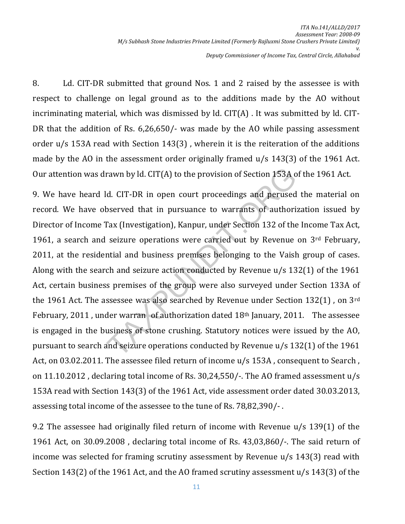8. Ld. CIT-DR submitted that ground Nos. 1 and 2 raised by the assessee is with respect to challenge on legal ground as to the additions made by the AO without incriminating material, which was dismissed by ld. CIT(A) . It was submitted by ld. CIT-DR that the addition of Rs. 6,26,650/- was made by the AO while passing assessment order u/s 153A read with Section 143(3) , wherein it is the reiteration of the additions made by the AO in the assessment order originally framed u/s 143(3) of the 1961 Act. Our attention was drawn by ld. CIT(A) to the provision of Section 153A of the 1961 Act.

9. We have heard ld. CIT-DR in open court proceedings and perused the material on record. We have observed that in pursuance to warrants of authorization issued by Director of Income Tax (Investigation), Kanpur, under Section 132 of the Income Tax Act, 1961, a search and seizure operations were carried out by Revenue on  $3<sup>rd</sup>$  February, 2011, at the residential and business premises belonging to the Vaish group of cases. Along with the search and seizure action conducted by Revenue u/s 132(1) of the 1961 Act, certain business premises of the group were also surveyed under Section 133A of the 1961 Act. The assessee was also searched by Revenue under Section 132(1) , on 3rd February, 2011 , under warran of authorization dated 18th January, 2011. The assessee is engaged in the business of stone crushing. Statutory notices were issued by the AO, pursuant to search and seizure operations conducted by Revenue u/s 132(1) of the 1961 Act, on 03.02.2011. The assessee filed return of income  $u/s$  153A, consequent to Search, on 11.10.2012 , declaring total income of Rs. 30,24,550/-. The AO framed assessment u/s 153A read with Section 143(3) of the 1961 Act, vide assessment order dated 30.03.2013, assessing total income of the assessee to the tune of Rs. 78,82,390/- . rawn by ld. CIT(A) to the provision of Section 153A or details and perused been court proceedings and perused been court in pursuance to warrants of authorical and the seizure operations were carried out by Revenue ntial

9.2 The assessee had originally filed return of income with Revenue u/s 139(1) of the 1961 Act, on 30.09.2008 , declaring total income of Rs. 43,03,860/-. The said return of income was selected for framing scrutiny assessment by Revenue u/s 143(3) read with Section 143(2) of the 1961 Act, and the AO framed scrutiny assessment u/s 143(3) of the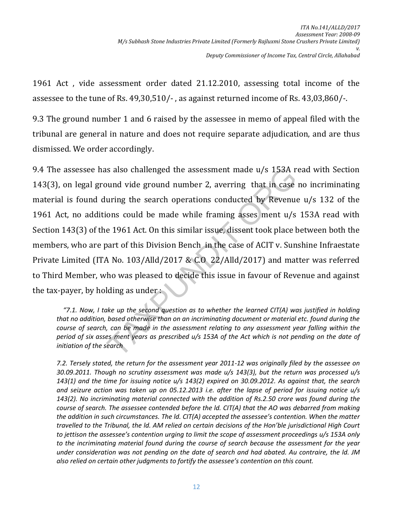1961 Act , vide assessment order dated 21.12.2010, assessing total income of the assessee to the tune of Rs. 49,30,510/- , as against returned income of Rs. 43,03,860/-.

9.3 The ground number 1 and 6 raised by the assessee in memo of appeal filed with the tribunal are general in nature and does not require separate adjudication, and are thus dismissed. We order accordingly.

9.4 The assessee has also challenged the assessment made u/s 153A read with Section 143(3), on legal ground vide ground number 2, averring that in case no incriminating material is found during the search operations conducted by Revenue u/s 132 of the 1961 Act, no additions could be made while framing asses ment u/s 153A read with Section 143(3) of the 1961 Act. On this similar issue, dissent took place between both the members, who are part of this Division Bench in the case of ACIT v. Sunshine Infraestate Private Limited (ITA No. 103/Alld/2017 & C.O 22/Alld/2017) and matter was referred to Third Member, who was pleased to decide this issue in favour of Revenue and against the tax-payer, by holding as under : is also challenged the assessment made  $u/s$  153A r<br>bund vide ground number 2, averring that in case<br>uring the search operations conducted by Revenue<br>ions could be made while framing asses ment  $u/s$ <br>e 1961 Act. On this sim

 $"7.1.$  Now, I take up the second question as to whether the learned CIT(A) was justified in holding that no addition, based otherwise than on an incriminating document or material etc. found during the course of search, can be made in the assessment relating to any assessment year falling within the period of six asses ment years as prescribed u/s 153A of the Act which is not pending on the date of initiation of the search

7.2. Tersely stated, the return for the assessment year 2011-12 was originally filed by the assessee on 30.09.2011. Though no scrutiny assessment was made u/s 143(3), but the return was processed u/s 143(1) and the time for issuing notice u/s 143(2) expired on 30.09.2012. As against that, the search and seizure action was taken up on 05.12.2013 i.e. after the lapse of period for issuing notice u/s 143(2). No incriminating material connected with the addition of Rs.2.50 crore was found during the course of search. The assessee contended before the ld. CIT(A) that the AO was debarred from making the addition in such circumstances. The ld. CIT(A) accepted the assessee's contention. When the matter travelled to the Tribunal, the ld. AM relied on certain decisions of the Hon'ble jurisdictional High Court to jettison the assessee's contention urging to limit the scope of assessment proceedings u/s 153A only to the incriminating material found during the course of search because the assessment for the year under consideration was not pending on the date of search and had abated. Au contraire, the ld. JM also relied on certain other judgments to fortify the assessee's contention on this count.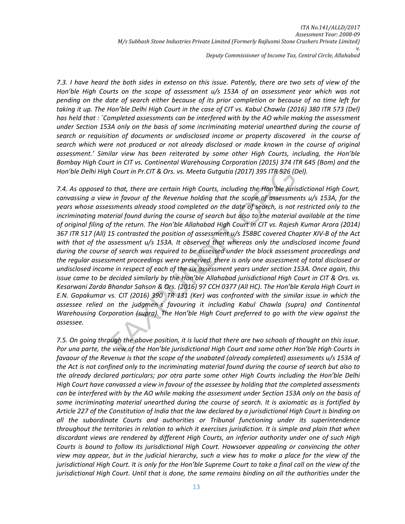7.3. I have heard the both sides in extenso on this issue. Patently, there are two sets of view of the Hon'ble High Courts on the scope of assessment u/s 153A of an assessment year which was not pending on the date of search either because of its prior completion or because of no time left for taking it up. The Hon'ble Delhi High Court in the case of CIT vs. Kabul Chawla (2016) 380 ITR 573 (Del) has held that : `Completed assessments can be interfered with by the AO while making the assessment under Section 153A only on the basis of some incriminating material unearthed during the course of search or requisition of documents or undisclosed income or property discovered in the course of search which were not produced or not already disclosed or made known in the course of original assessment.' Similar view has been reiterated by some other High Courts, including, the Hon'ble Bombay High Court in CIT vs. Continental Warehousing Corporation (2015) 374 ITR 645 (Bom) and the Hon'ble Delhi High Court in Pr.CIT & Ors. vs. Meeta Gutgutia (2017) 395 ITR 526 (Del).

7.4. As opposed to that, there are certain High Courts, including the Hon'ble jurisdictional High Court, canvassing a view in favour of the Revenue holding that the scope of assessments u/s 153A, for the years whose assessments already stood completed on the date of search, is not restricted only to the incriminating material found during the course of search but also to the material available at the time of original filing of the return. The Hon'ble Allahabad High Court in CIT vs. Rajesh Kumar Arora (2014) 367 ITR 517 (All) 15 contrasted the position of assessment u/s 158BC covered Chapter XIV-B of the Act with that of the assessment u/s 153A. It observed that whereas only the undisclosed income found during the course of search was required to be assessed under the block assessment proceedings and the regular assessment proceedings were preserved, there is only one assessment of total disclosed or undisclosed income in respect of each of the six assessment years under section 153A. Once again, this issue came to be decided similarly by the Hon'ble Allahabad jurisdictional High Court in CIT & Ors. vs. Kesarwani Zarda Bhandar Sahson & Ors. (2016) 97 CCH 0377 (All HC). The Hon'ble Kerala High Court in E.N. Gopakumar vs. CIT (2016) 390 TR 131 (Ker) was confronted with the similar issue in which the assessee relied on the judgmen s favouring it including Kabul Chawla (supra) and Continental Warehousing Corporation (supra). The Hon'ble High Court preferred to go with the view against the assessee. gh Court in Pr.CIT & Ors. vs. Meeta Gutgutia (2017) 395 ITR 526 (D<br>to that, there are certain High Courts, including the Hon'ble juris<br>w in favour of the Revenue holding that the scope of assessmes<br>essments already stood

7.5. On going through the above position, it is lucid that there are two schools of thought on this issue. Por una parte, the view of the Hon'ble jurisdictional High Court and some other Hon'ble High Courts in favaour of the Revenue is that the scope of the unabated (already completed) assessments u/s 153A of the Act is not confined only to the incriminating material found during the course of search but also to the already declared particulars; por otra parte some other High Courts including the Hon'ble Delhi High Court have canvassed a view in favour of the assessee by holding that the completed assessments can be interfered with by the AO while making the assessment under Section 153A only on the basis of some incriminating material unearthed during the course of search. It is axiomatic as is fortified by Article 227 of the Constitution of India that the law declared by a jurisdictional High Court is binding on all the subordinate Courts and authorities or Tribunal functioning under its superintendence throughout the territories in relation to which it exercises jurisdiction. It is simple and plain that when discordant views are rendered by different High Courts, an inferior authority under one of such High Courts is bound to follow its jurisdictional High Court. Howsoever appealing or convincing the other view may appear, but in the judicial hierarchy, such a view has to make a place for the view of the jurisdictional High Court. It is only for the Hon'ble Supreme Court to take a final call on the view of the jurisdictional High Court. Until that is done, the same remains binding on all the authorities under the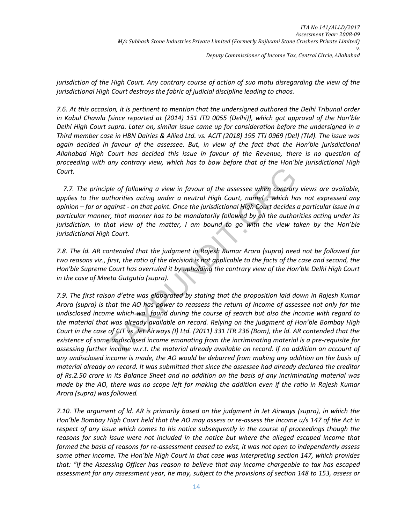jurisdiction of the High Court. Any contrary course of action of suo motu disregarding the view of the jurisdictional High Court destroys the fabric of judicial discipline leading to chaos.

7.6. At this occasion, it is pertinent to mention that the undersigned authored the Delhi Tribunal order in Kabul Chawla [since reported at (2014) 151 ITD 0055 (Delhi)], which got approval of the Hon'ble Delhi High Court supra. Later on, similar issue came up for consideration before the undersigned in a Third member case in HBN Dairies & Allied Ltd. vs. ACIT (2018) 195 TTJ 0969 (Del) (TM). The issue was again decided in favour of the assessee. But, in view of the fact that the Hon'ble jurisdictional Allahabad High Court has decided this issue in favour of the Revenue, there is no question of proceeding with any contrary view, which has to bow before that of the Hon'ble jurisdictional High Court.

 7.7. The principle of following a view in favour of the assessee when contrary views are available, applies to the authorities acting under a neutral High Court, namel , which has not expressed any opinion – for or against - on that point. Once the jurisdictional High Court decides a particular issue in a particular manner, that manner has to be mandatorily followed by all the authorities acting under its jurisdiction. In that view of the matter, I am bound to go with the view taken by the Hon'ble jurisdictional High Court.

7.8. The ld. AR contended that the judgment in Rajesh Kumar Arora (supra) need not be followed for two reasons viz., first, the ratio of the decision is not applicable to the facts of the case and second, the Hon'ble Supreme Court has overruled it by upholding the contrary view of the Hon'ble Delhi High Court in the case of Meeta Gutgutia (supra).

7.9. The first raison d'etre was elaborated by stating that the proposition laid down in Rajesh Kumar Arora (supra) is that the AO has power to reassess the return of income of assessee not only for the undisclosed income which wa found during the course of search but also the income with regard to the material that was already available on record. Relying on the judgment of Hon'ble Bombay High Court in the case of CIT vs Jet Airways (I) Ltd. (2011) 331 ITR 236 (Bom), the ld. AR contended that the existence of some undisclosed income emanating from the incriminating material is a pre-requisite for assessing further income w.r.t. the material already available on record. If no addition on account of any undisclosed income is made, the AO would be debarred from making any addition on the basis of material already on record. It was submitted that since the assessee had already declared the creditor of Rs.2.50 crore in its Balance Sheet and no addition on the basis of any incriminating material was made by the AO, there was no scope left for making the addition even if the ratio in Rajesh Kumar Arora (supra) was followed. iple of following a view in favour of the assessee when contrary<br>uthorities acting under a neutral High Court, namel, which hagainst - on that point. Once the jurisdictional High Court decides<br>er, that manner has to be man

7.10. The argument of ld. AR is primarily based on the judgment in Jet Airways (supra), in which the Hon'ble Bombay High Court held that the AO may assess or re-assess the income u/s 147 of the Act in respect of any issue which comes to his notice subsequently in the course of proceedings though the reasons for such issue were not included in the notice but where the alleged escaped income that formed the basis of reasons for re-assessment ceased to exist, it was not open to independently assess some other income. The Hon'ble High Court in that case was interpreting section 147, which provides that: "If the Assessing Officer has reason to believe that any income chargeable to tax has escaped assessment for any assessment year, he may, subject to the provisions of section 148 to 153, assess or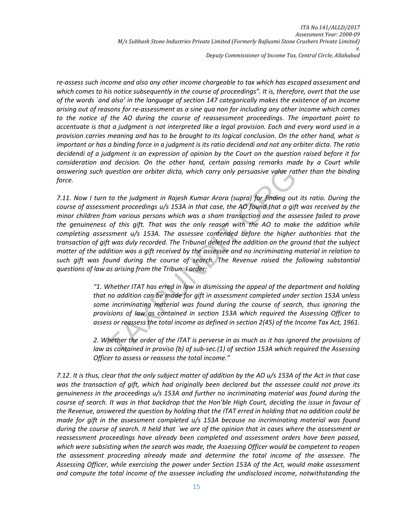re-assess such income and also any other income chargeable to tax which has escaped assessment and which comes to his notice subsequently in the course of proceedings". It is, therefore, overt that the use of the words `and also' in the language of section 147 categorically makes the existence of an income arising out of reasons for re-assessment as a sine qua non for including any other income which comes to the notice of the AO during the course of reassessment proceedings. The important point to accentuate is that a judgment is not interpreted like a legal provision. Each and every word used in a provision carries meaning and has to be brought to its logical conclusion. On the other hand, what is important or has a binding force in a judgment is its ratio decidendi and not any orbiter dicta. The ratio decidendi of a judgment is an expression of opinion by the Court on the question raised before it for consideration and decision. On the other hand, certain passing remarks made by a Court while answering such question are orbiter dicta, which carry only persuasive value rather than the binding force.

7.11. Now I turn to the judgment in Rajesh Kumar Arora (supra) for finding out its ratio. During the course of assessment proceedings u/s 153A in that case, the AO found that a gift was received by the minor children from various persons which was a sham transaction and the assessee failed to prove the genuineness of this gift. That was the only reason with the AO to make the addition while completing assessment u/s 153A. The assessee contended before the higher authorities that the transaction of gift was duly recorded. The Tribunal deleted the addition on the ground that the subject matter of the addition was a gift received by the assessee and no incriminating material in relation to such gift was found during the course of search. The Revenue raised the following substantial questions of law as arising from the Tribun l order: question are orbiter dicta, which carry only persuasive value rat<br>to the judgment in Rajesh Kumar Arora (supra) for finding out<br>ment proceedings u/s 153A in that case, the AO found that a gift<br>norm various persons which wa

"1. Whether ITAT has erred in law in dismissing the appeal of the department and holding that no addition can be made for gift in assessment completed under section 153A unless some incriminating material was found during the course of search, thus ignoring the provisions of law as contained in section 153A which required the Assessing Officer to assess or reassess the total income as defined in section 2(45) of the Income Tax Act, 1961.

2. Whether the order of the ITAT is perverse in as much as it has ignored the provisions of law as contained in proviso (b) of sub-sec.(1) of section 153A which required the Assessing Officer to assess or reassess the total income."

7.12. It is thus, clear that the only subject matter of addition by the AO u/s 153A of the Act in that case was the transaction of gift, which had originally been declared but the assessee could not prove its genuineness in the proceedings u/s 153A and further no incriminating material was found during the course of search. It was in that backdrop that the Hon'ble High Court, deciding the issue in favour of the Revenue, answered the question by holding that the ITAT erred in holding that no addition could be made for gift in the assessment completed u/s 153A because no incriminating material was found during the course of search. It held that `we are of the opinion that in cases where the assessment or reassessment proceedings have already been completed and assessment orders have been passed, which were subsisting when the search was made, the Assessing Officer would be competent to reopen the assessment proceeding already made and determine the total income of the assessee. The Assessing Officer, while exercising the power under Section 153A of the Act, would make assessment and compute the total income of the assessee including the undisclosed income, notwithstanding the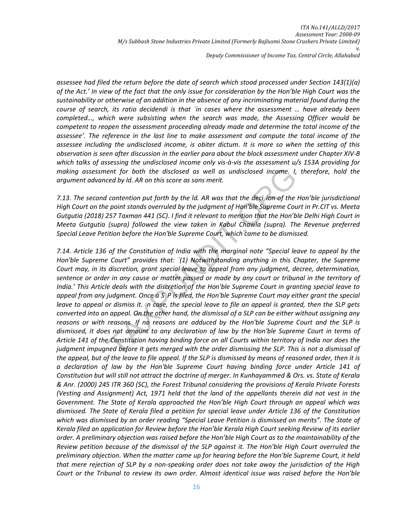assessee had filed the return before the date of search which stood processed under Section 143(1)(a) of the Act.' In view of the fact that the only issue for consideration by the Hon'ble High Court was the sustainability or otherwise of an addition in the absence of any incriminating material found during the course of search, its ratio decidendi is that `in cases where the assessment … have already been completed…, which were subsisting when the search was made, the Assessing Officer would be competent to reopen the assessment proceeding already made and determine the total income of the assessee'. The reference in the last line to make assessment and compute the total income of the assessee including the undisclosed income, is obiter dictum. It is more so when the setting of this observation is seen after discussion in the earlier para about the block assessment under Chapter XIV-B which talks of assessing the undisclosed income only vis-à-vis the assessment u/s 153A providing for making assessment for both the disclosed as well as undisclosed income. I, therefore, hold the argument advanced by ld. AR on this score as sans merit.

7.13. The second contention put forth by the ld. AR was that the deci ion of the Hon'ble jurisdictional High Court on the point stands overruled by the judgment of Hon'ble Supreme Court in Pr.CIT vs. Meeta Gutgutia (2018) 257 Taxman 441 (SC). I find it relevant to mention that the Hon'ble Delhi High Court in Meeta Gutgutia (supra) followed the view taken in Kabul Chawla (supra). The Revenue preferred Special Leave Petition before the Hon'ble Supreme Court, which came to be dismissed.

7.14. Article 136 of the Constitution of India with the marginal note "Special leave to appeal by the Hon'ble Supreme Court" provides that: `(1) Notwithstanding anything in this Chapter, the Supreme Court may, in its discretion, grant special leave to appeal from any judgment, decree, determination, sentence or order in any cause or matter passed or made by any court or tribunal in the territory of India.' This Article deals with the discretion of the Hon'ble Supreme Court in granting special leave to appeal from any judgment. Once a S P is filed, the Hon'ble Supreme Court may either grant the special leave to appeal or dismiss it. In case, the special leave to file an appeal is granted, then the SLP gets converted into an appeal. On the other hand, the dismissal of a SLP can be either without assigning any reasons or with reasons If no reasons are adduced by the Hon'ble Supreme Court and the SLP is dismissed, it does not amount to any declaration of law by the Hon'ble Supreme Court in terms of Article 141 of the Constitution having binding force on all Courts within territory of India nor does the judgment impugned before it gets merged with the order dismissing the SLP. This is not a dismissal of the appeal, but of the leave to file appeal. If the SLP is dismissed by means of reasoned order, then it is a declaration of law by the Hon'ble Supreme Court having binding force under Article 141 of Constitution but will still not attract the doctrine of merger. In Kunhayammed & Ors. vs. State of Kerala & Anr. (2000) 245 ITR 360 (SC), the Forest Tribunal considering the provisions of Kerala Private Forests (Vesting and Assignment) Act, 1971 held that the land of the appellants therein did not vest in the Government. The State of Kerala approached the Hon'ble High Court through an appeal which was dismissed. The State of Kerala filed a petition for special leave under Article 136 of the Constitution which was dismissed by an order reading "Special Leave Petition is dismissed on merits". The State of Kerala filed an application for Review before the Hon'ble Kerala High Court seeking Review of its earlier order. A preliminary objection was raised before the Hon'ble High Court as to the maintainability of the Review petition because of the dismissal of the SLP against it. The Hon'ble High Court overruled the preliminary objection. When the matter came up for hearing before the Hon'ble Supreme Court, it held that mere rejection of SLP by a non-speaking order does not take away the jurisdiction of the High Court or the Tribunal to review its own order. Almost identical issue was raised before the Hon'ble eart for both the disclosed as well as undisclosed income. I,<br>ced by ld. AR on this score as sans merit.<br>I contention put forth by the ld. AR was that the deci ion of the<br>point stands overruled by the judgment of Hon ble S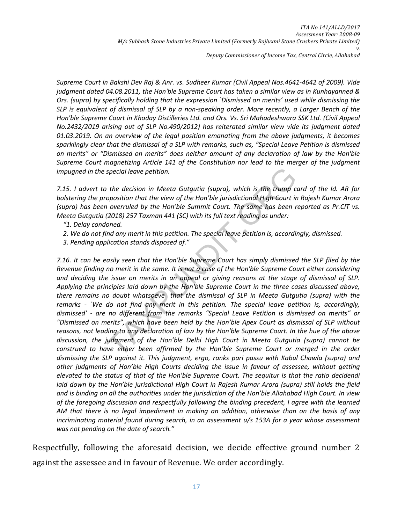Supreme Court in Bakshi Dev Raj & Anr. vs. Sudheer Kumar (Civil Appeal Nos.4641-4642 of 2009). Vide judgment dated 04.08.2011, the Hon'ble Supreme Court has taken a similar view as in Kunhayanned & Ors. (supra) by specifically holding that the expression `Dismissed on merits' used while dismissing the SLP is equivalent of dismissal of SLP by a non-speaking order. More recently, a Larger Bench of the Hon'ble Supreme Court in Khoday Distilleries Ltd. and Ors. Vs. Sri Mahadeshwara SSK Ltd. (Civil Appeal No.2432/2019 arising out of SLP No.490/2012) has reiterated similar view vide its judgment dated 01.03.2019. On an overview of the legal position emanating from the above judgments, it becomes sparklingly clear that the dismissal of a SLP with remarks, such as, "Special Leave Petition is dismissed on merits" or "Dismissed on merits" does neither amount of any declaration of law by the Hon'ble Supreme Court magnetizing Article 141 of the Constitution nor lead to the merger of the judgment impugned in the special leave petition.

7.15. I advert to the decision in Meeta Gutgutia (supra), which is the trump card of the ld. AR for bolstering the proposition that the view of the Hon'ble jurisdictional H gh Court in Rajesh Kumar Arora (supra) has been overruled by the Hon'ble Summit Court. The same has been reported as Pr.CIT vs. Meeta Gutgutia (2018) 257 Taxman 441 (SC) with its full text reading as under:

- "1. Delay condoned.
- 2. We do not find any merit in this petition. The special leave petition is, accordingly, dismissed.
- 3. Pending application stands disposed of."

7.16. It can be easily seen that the Hon'ble Supreme Court has simply dismissed the SLP filed by the Revenue finding no merit in the same. It is not a case of the Hon'ble Supreme Court either considering and deciding the issue on merits in an appeal or giving reasons at the stage of dismissal of SLP. Applying the principles laid down by the Hon'ble Supreme Court in the three cases discussed above, there remains no doubt whatsoeve that the dismissal of SLP in Meeta Gutgutia (supra) with the remarks - `We do not find any merit in this petition. The special leave petition is, accordingly, dismissed' - are no different from the remarks "Special Leave Petition is dismissed on merits" or "Dismissed on merits", which have been held by the Hon'ble Apex Court as dismissal of SLP without reasons, not leading to any declaration of law by the Hon'ble Supreme Court. In the hue of the above discussion, the judgment of the Hon'ble Delhi High Court in Meeta Gutgutia (supra) cannot be construed to have either been affirmed by the Hon'ble Supreme Court or merged in the order dismissing the SLP against it. This judgment, ergo, ranks pari passu with Kabul Chawla (supra) and other judgments of Hon'ble High Courts deciding the issue in favour of assessee, without getting elevated to the status of that of the Hon'ble Supreme Court. The sequitur is that the ratio decidendi laid down by the Hon'ble jurisdictional High Court in Rajesh Kumar Arora (supra) still holds the field and is binding on all the authorities under the jurisdiction of the Hon'ble Allahabad High Court. In view of the foregoing discussion and respectfully following the binding precedent, I agree with the learned AM that there is no legal impediment in making an addition, otherwise than on the basis of any incriminating material found during search, in an assessment u/s 153A for a year whose assessment was not pending on the date of search." special leave petition.<br>
the decision in Meeta Gutgutia (supra), which is the trump coposition that the view of the Hon'ble jurisdictional H gh Court in<br>
overruled by the Hon'ble Summit Court. The same has been r<br>
(2018) 2

Respectfully, following the aforesaid decision, we decide effective ground number 2 against the assessee and in favour of Revenue. We order accordingly.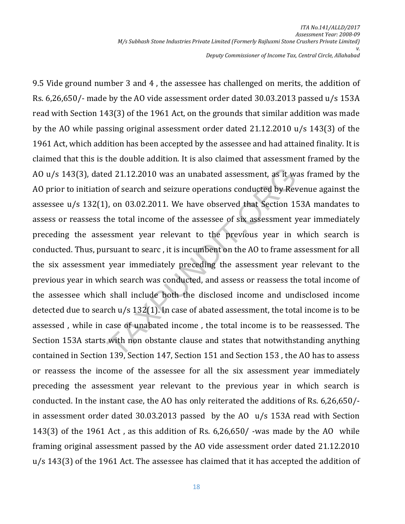9.5 Vide ground number 3 and 4 , the assessee has challenged on merits, the addition of Rs. 6,26,650/- made by the AO vide assessment order dated 30.03.2013 passed u/s 153A read with Section 143(3) of the 1961 Act, on the grounds that similar addition was made by the AO while passing original assessment order dated 21.12.2010 u/s 143(3) of the 1961 Act, which addition has been accepted by the assessee and had attained finality. It is claimed that this is the double addition. It is also claimed that assessment framed by the AO u/s 143(3), dated 21.12.2010 was an unabated assessment, as it was framed by the AO prior to initiation of search and seizure operations conducted by Revenue against the assessee u/s 132(1), on 03.02.2011. We have observed that Section 153A mandates to assess or reassess the total income of the assessee of six assessment year immediately preceding the assessment year relevant to the previous year in which search is conducted. Thus, pursuant to searc , it is incumbent on the AO to frame assessment for all the six assessment year immediately preceding the assessment year relevant to the previous year in which search was conducted, and assess or reassess the total income of the assessee which shall include both the disclosed income and undisclosed income detected due to search u/s 132(1). In case of abated assessment, the total income is to be assessed , while in case of unabated income , the total income is to be reassessed. The Section 153A starts with non obstante clause and states that notwithstanding anything contained in Section 139, Section 147, Section 151 and Section 153 , the AO has to assess or reassess the income of the assessee for all the six assessment year immediately preceding the assessment year relevant to the previous year in which search is conducted. In the instant case, the AO has only reiterated the additions of Rs. 6,26,650/ in assessment order dated 30.03.2013 passed by the AO u/s 153A read with Section 143(3) of the 1961 Act , as this addition of Rs. 6,26,650/ -was made by the AO while framing original assessment passed by the AO vide assessment order dated 21.12.2010 u/s 143(3) of the 1961 Act. The assessee has claimed that it has accepted the addition of ed 21.12.2010 was an unabated assessment, as it was<br>n of search and seizure operations conducted by Rev<br>), on 03.02.2011. We have observed that Section 1!<br>the total income of the assessee of six assessment y<br>essment year r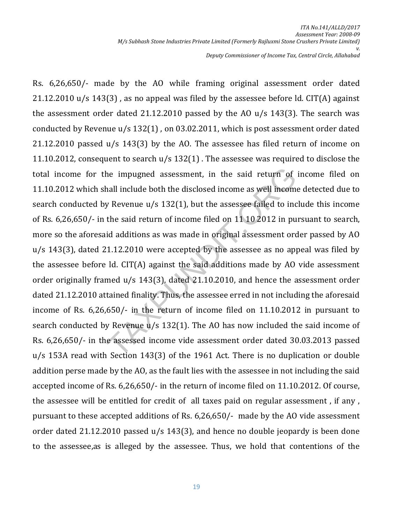Rs. 6,26,650/- made by the AO while framing original assessment order dated 21.12.2010 u/s 143(3) , as no appeal was filed by the assessee before ld. CIT(A) against the assessment order dated 21.12.2010 passed by the AO u/s 143(3). The search was conducted by Revenue u/s 132(1) , on 03.02.2011, which is post assessment order dated 21.12.2010 passed u/s 143(3) by the AO. The assessee has filed return of income on 11.10.2012, consequent to search u/s 132(1) . The assessee was required to disclose the total income for the impugned assessment, in the said return of income filed on 11.10.2012 which shall include both the disclosed income as well income detected due to search conducted by Revenue u/s 132(1), but the assessee failed to include this income of Rs. 6,26,650/- in the said return of income filed on 11 10 2012 in pursuant to search, more so the aforesaid additions as was made in original assessment order passed by AO u/s 143(3), dated 21.12.2010 were accepted by the assessee as no appeal was filed by the assessee before ld. CIT(A) against the said additions made by AO vide assessment order originally framed u/s 143(3), dated 21.10.2010, and hence the assessment order dated 21.12.2010 attained finality. Thus, the assessee erred in not including the aforesaid income of Rs. 6,26,650/- in the return of income filed on 11.10.2012 in pursuant to search conducted by Revenue u/s 132(1). The AO has now included the said income of Rs. 6,26,650/- in the assessed income vide assessment order dated 30.03.2013 passed u/s 153A read with Section 143(3) of the 1961 Act. There is no duplication or double addition perse made by the AO, as the fault lies with the assessee in not including the said accepted income of Rs. 6,26,650/- in the return of income filed on 11.10.2012. Of course, the assessee will be entitled for credit of all taxes paid on regular assessment , if any , pursuant to these accepted additions of Rs. 6,26,650/- made by the AO vide assessment order dated 21.12.2010 passed u/s 143(3), and hence no double jeopardy is been done to the assessee,as is alleged by the assessee. Thus, we hold that contentions of the the impugned assessment, in the said return of<br>hall include both the disclosed income as well income<br>y Revenue u/s 132(1), but the assessee failed to inc<br>the said return of income filed on 11 10 2012 in pu<br>id additions as